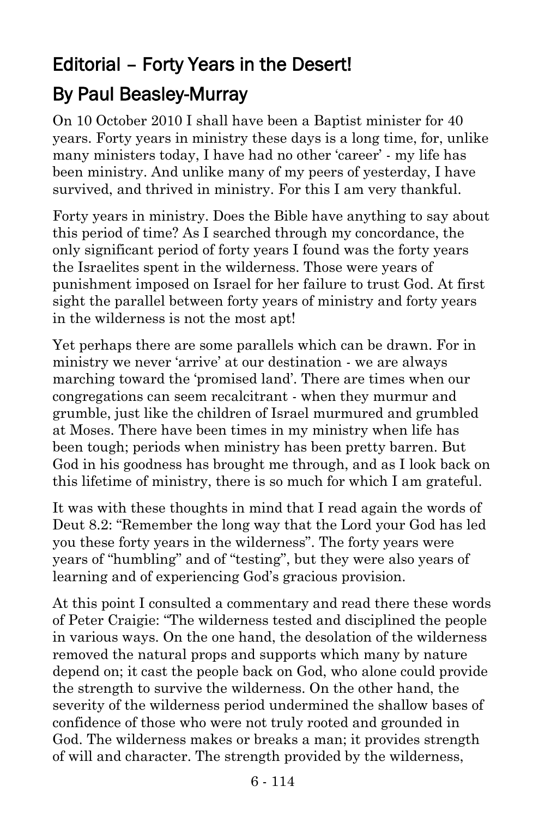## Editorial – Forty Years in the Desert!

## By Paul Beasley-Murray

On 10 October 2010 I shall have been a Baptist minister for 40 years. Forty years in ministry these days is a long time, for, unlike many ministers today, I have had no other 'career' - my life has been ministry. And unlike many of my peers of yesterday, I have survived, and thrived in ministry. For this I am very thankful.

Forty years in ministry. Does the Bible have anything to say about this period of time? As I searched through my concordance, the only significant period of forty years I found was the forty years the Israelites spent in the wilderness. Those were years of punishment imposed on Israel for her failure to trust God. At first sight the parallel between forty years of ministry and forty years in the wilderness is not the most apt!

Yet perhaps there are some parallels which can be drawn. For in ministry we never 'arrive' at our destination - we are always marching toward the 'promised land'. There are times when our congregations can seem recalcitrant - when they murmur and grumble, just like the children of Israel murmured and grumbled at Moses. There have been times in my ministry when life has been tough; periods when ministry has been pretty barren. But God in his goodness has brought me through, and as I look back on this lifetime of ministry, there is so much for which I am grateful.

It was with these thoughts in mind that I read again the words of Deut 8.2: "Remember the long way that the Lord your God has led you these forty years in the wilderness". The forty years were years of "humbling" and of "testing", but they were also years of learning and of experiencing God's gracious provision.

At this point I consulted a commentary and read there these words of Peter Craigie: "The wilderness tested and disciplined the people in various ways. On the one hand, the desolation of the wilderness removed the natural props and supports which many by nature depend on; it cast the people back on God, who alone could provide the strength to survive the wilderness. On the other hand, the severity of the wilderness period undermined the shallow bases of confidence of those who were not truly rooted and grounded in God. The wilderness makes or breaks a man; it provides strength of will and character. The strength provided by the wilderness,